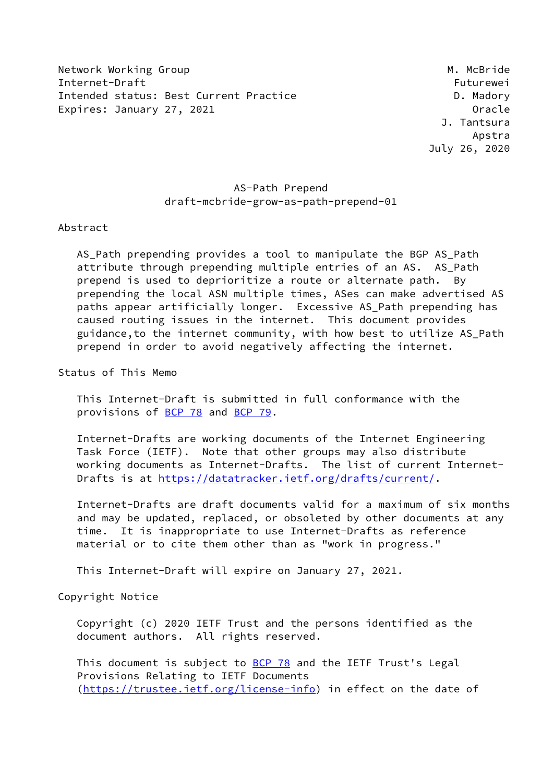Network Working Group Manuscript Communication of the Muslim Muslim Muslim Muslim Muslim Muslim Muslim Muslim M Internet-Draft Futurewei Intended status: Best Current Practice D. Madory Expires: January 27, 2021 **Canadian Contract Contract Contract Contract Contract Contract Contract Contract Contract Contract Contract Contract Contract Contract Contract Contract Contract Contract Contract Contract Contra** 

 J. Tantsura Apstra July 26, 2020

# AS-Path Prepend draft-mcbride-grow-as-path-prepend-01

Abstract

 AS\_Path prepending provides a tool to manipulate the BGP AS\_Path attribute through prepending multiple entries of an AS. AS Path prepend is used to deprioritize a route or alternate path. By prepending the local ASN multiple times, ASes can make advertised AS paths appear artificially longer. Excessive AS Path prepending has caused routing issues in the internet. This document provides guidance,to the internet community, with how best to utilize AS\_Path prepend in order to avoid negatively affecting the internet.

Status of This Memo

 This Internet-Draft is submitted in full conformance with the provisions of [BCP 78](https://datatracker.ietf.org/doc/pdf/bcp78) and [BCP 79](https://datatracker.ietf.org/doc/pdf/bcp79).

 Internet-Drafts are working documents of the Internet Engineering Task Force (IETF). Note that other groups may also distribute working documents as Internet-Drafts. The list of current Internet- Drafts is at<https://datatracker.ietf.org/drafts/current/>.

 Internet-Drafts are draft documents valid for a maximum of six months and may be updated, replaced, or obsoleted by other documents at any time. It is inappropriate to use Internet-Drafts as reference material or to cite them other than as "work in progress."

This Internet-Draft will expire on January 27, 2021.

Copyright Notice

 Copyright (c) 2020 IETF Trust and the persons identified as the document authors. All rights reserved.

This document is subject to **[BCP 78](https://datatracker.ietf.org/doc/pdf/bcp78)** and the IETF Trust's Legal Provisions Relating to IETF Documents [\(https://trustee.ietf.org/license-info](https://trustee.ietf.org/license-info)) in effect on the date of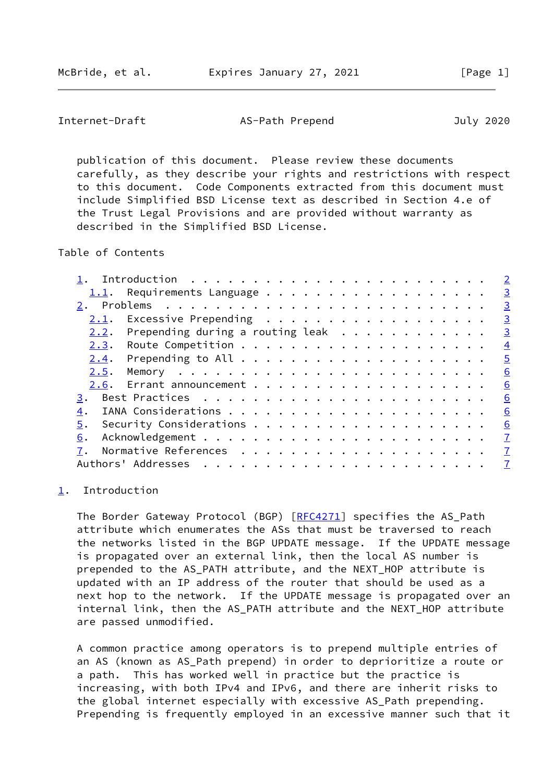<span id="page-1-1"></span>Internet-Draft AS-Path Prepend July 2020

 publication of this document. Please review these documents carefully, as they describe your rights and restrictions with respect to this document. Code Components extracted from this document must include Simplified BSD License text as described in Section 4.e of the Trust Legal Provisions and are provided without warranty as described in the Simplified BSD License.

Table of Contents

|      |                                                                                                |  |  |  |  |  |  |  |  |  |  | $\overline{2}$ |
|------|------------------------------------------------------------------------------------------------|--|--|--|--|--|--|--|--|--|--|----------------|
| 1.1. | Requirements Language                                                                          |  |  |  |  |  |  |  |  |  |  | $\overline{3}$ |
| 2.   |                                                                                                |  |  |  |  |  |  |  |  |  |  | $\overline{3}$ |
| 2.1. | Excessive Prepending                                                                           |  |  |  |  |  |  |  |  |  |  | $\overline{3}$ |
| 2.2. | Prepending during a routing leak $\cdot \cdot \cdot \cdot \cdot \cdot \cdot \cdot \cdot \cdot$ |  |  |  |  |  |  |  |  |  |  | $\overline{3}$ |
|      |                                                                                                |  |  |  |  |  |  |  |  |  |  | $\overline{4}$ |
| 2.4. |                                                                                                |  |  |  |  |  |  |  |  |  |  | $\overline{5}$ |
| 2.5. |                                                                                                |  |  |  |  |  |  |  |  |  |  | 6              |
|      |                                                                                                |  |  |  |  |  |  |  |  |  |  | 6              |
| 3.   |                                                                                                |  |  |  |  |  |  |  |  |  |  | 6              |
| 4.   |                                                                                                |  |  |  |  |  |  |  |  |  |  | 6              |
| 5.   |                                                                                                |  |  |  |  |  |  |  |  |  |  | 6              |
| 6.   |                                                                                                |  |  |  |  |  |  |  |  |  |  | $\mathbf I$    |
|      |                                                                                                |  |  |  |  |  |  |  |  |  |  | $\mathbf{Z}$   |
|      | Authors' Addresses                                                                             |  |  |  |  |  |  |  |  |  |  | $\overline{1}$ |
|      |                                                                                                |  |  |  |  |  |  |  |  |  |  |                |

#### <span id="page-1-0"></span>[1](#page-1-0). Introduction

The Border Gateway Protocol (BGP) [[RFC4271](https://datatracker.ietf.org/doc/pdf/rfc4271)] specifies the AS\_Path attribute which enumerates the ASs that must be traversed to reach the networks listed in the BGP UPDATE message. If the UPDATE message is propagated over an external link, then the local AS number is prepended to the AS\_PATH attribute, and the NEXT\_HOP attribute is updated with an IP address of the router that should be used as a next hop to the network. If the UPDATE message is propagated over an internal link, then the AS\_PATH attribute and the NEXT\_HOP attribute are passed unmodified.

 A common practice among operators is to prepend multiple entries of an AS (known as AS\_Path prepend) in order to deprioritize a route or a path. This has worked well in practice but the practice is increasing, with both IPv4 and IPv6, and there are inherit risks to the global internet especially with excessive AS\_Path prepending. Prepending is frequently employed in an excessive manner such that it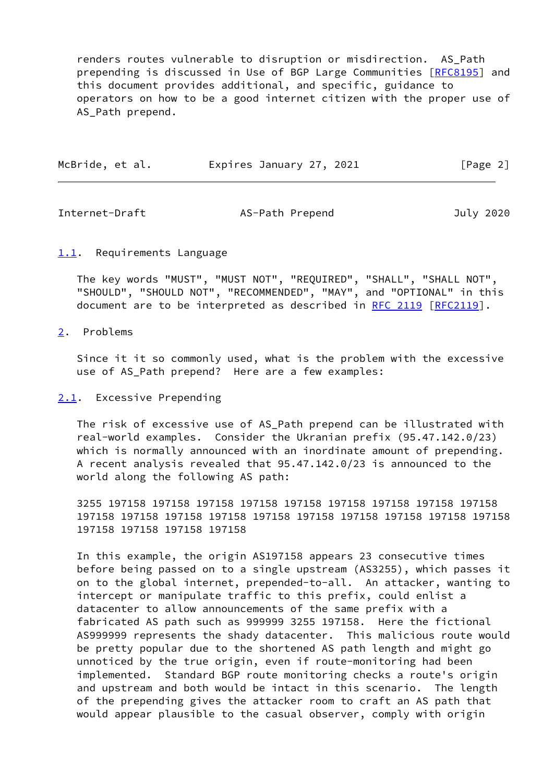renders routes vulnerable to disruption or misdirection. AS\_Path prepending is discussed in Use of BGP Large Communities [\[RFC8195](https://datatracker.ietf.org/doc/pdf/rfc8195)] and this document provides additional, and specific, guidance to operators on how to be a good internet citizen with the proper use of AS\_Path prepend.

| McBride, et al. | Expires January 27, 2021 | [Page 2] |
|-----------------|--------------------------|----------|
|                 |                          |          |

<span id="page-2-1"></span>Internet-Draft AS-Path Prepend July 2020

### <span id="page-2-0"></span>[1.1](#page-2-0). Requirements Language

 The key words "MUST", "MUST NOT", "REQUIRED", "SHALL", "SHALL NOT", "SHOULD", "SHOULD NOT", "RECOMMENDED", "MAY", and "OPTIONAL" in this document are to be interpreted as described in [RFC 2119 \[RFC2119](https://datatracker.ietf.org/doc/pdf/rfc2119)].

### <span id="page-2-2"></span>[2](#page-2-2). Problems

 Since it it so commonly used, what is the problem with the excessive use of AS\_Path prepend? Here are a few examples:

## <span id="page-2-3"></span>[2.1](#page-2-3). Excessive Prepending

 The risk of excessive use of AS\_Path prepend can be illustrated with real-world examples. Consider the Ukranian prefix (95.47.142.0/23) which is normally announced with an inordinate amount of prepending. A recent analysis revealed that 95.47.142.0/23 is announced to the world along the following AS path:

 3255 197158 197158 197158 197158 197158 197158 197158 197158 197158 197158 197158 197158 197158 197158 197158 197158 197158 197158 197158 197158 197158 197158 197158

 In this example, the origin AS197158 appears 23 consecutive times before being passed on to a single upstream (AS3255), which passes it on to the global internet, prepended-to-all. An attacker, wanting to intercept or manipulate traffic to this prefix, could enlist a datacenter to allow announcements of the same prefix with a fabricated AS path such as 999999 3255 197158. Here the fictional AS999999 represents the shady datacenter. This malicious route would be pretty popular due to the shortened AS path length and might go unnoticed by the true origin, even if route-monitoring had been implemented. Standard BGP route monitoring checks a route's origin and upstream and both would be intact in this scenario. The length of the prepending gives the attacker room to craft an AS path that would appear plausible to the casual observer, comply with origin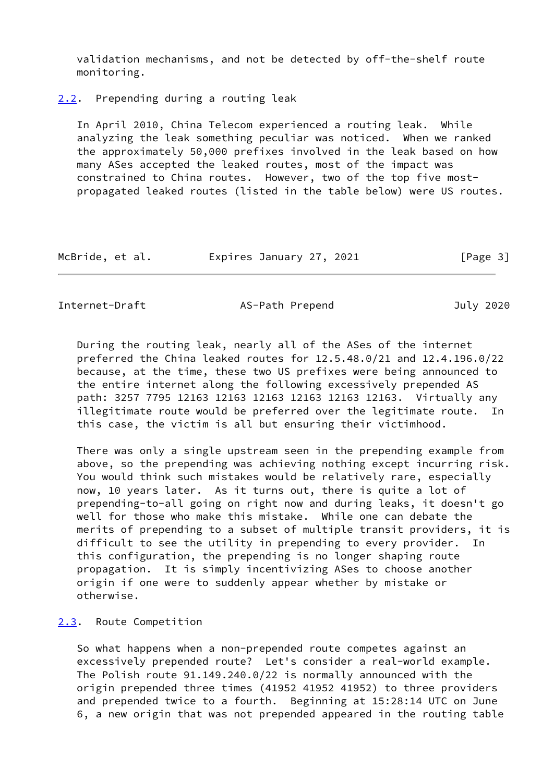validation mechanisms, and not be detected by off-the-shelf route monitoring.

<span id="page-3-0"></span>[2.2](#page-3-0). Prepending during a routing leak

 In April 2010, China Telecom experienced a routing leak. While analyzing the leak something peculiar was noticed. When we ranked the approximately 50,000 prefixes involved in the leak based on how many ASes accepted the leaked routes, most of the impact was constrained to China routes. However, two of the top five most propagated leaked routes (listed in the table below) were US routes.

| McBride, et al. | Expires January 27, 2021 | [Page 3] |
|-----------------|--------------------------|----------|
|-----------------|--------------------------|----------|

<span id="page-3-2"></span>Internet-Draft AS-Path Prepend July 2020

 During the routing leak, nearly all of the ASes of the internet preferred the China leaked routes for 12.5.48.0/21 and 12.4.196.0/22 because, at the time, these two US prefixes were being announced to the entire internet along the following excessively prepended AS path: 3257 7795 12163 12163 12163 12163 12163 12163. Virtually any illegitimate route would be preferred over the legitimate route. In this case, the victim is all but ensuring their victimhood.

 There was only a single upstream seen in the prepending example from above, so the prepending was achieving nothing except incurring risk. You would think such mistakes would be relatively rare, especially now, 10 years later. As it turns out, there is quite a lot of prepending-to-all going on right now and during leaks, it doesn't go well for those who make this mistake. While one can debate the merits of prepending to a subset of multiple transit providers, it is difficult to see the utility in prepending to every provider. In this configuration, the prepending is no longer shaping route propagation. It is simply incentivizing ASes to choose another origin if one were to suddenly appear whether by mistake or otherwise.

## <span id="page-3-1"></span>[2.3](#page-3-1). Route Competition

 So what happens when a non-prepended route competes against an excessively prepended route? Let's consider a real-world example. The Polish route 91.149.240.0/22 is normally announced with the origin prepended three times (41952 41952 41952) to three providers and prepended twice to a fourth. Beginning at 15:28:14 UTC on June 6, a new origin that was not prepended appeared in the routing table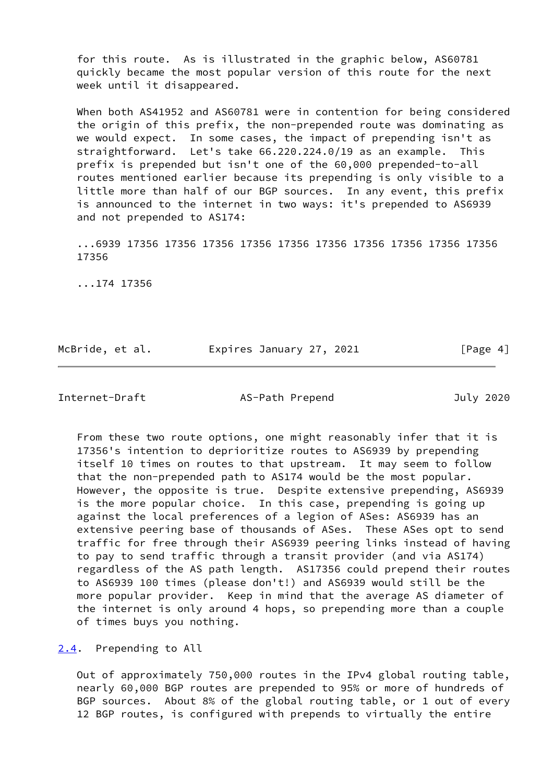for this route. As is illustrated in the graphic below, AS60781 quickly became the most popular version of this route for the next week until it disappeared.

 When both AS41952 and AS60781 were in contention for being considered the origin of this prefix, the non-prepended route was dominating as we would expect. In some cases, the impact of prepending isn't as straightforward. Let's take 66.220.224.0/19 as an example. This prefix is prepended but isn't one of the 60,000 prepended-to-all routes mentioned earlier because its prepending is only visible to a little more than half of our BGP sources. In any event, this prefix is announced to the internet in two ways: it's prepended to AS6939 and not prepended to AS174:

 ...6939 17356 17356 17356 17356 17356 17356 17356 17356 17356 17356 17356

...174 17356

| McBride, et al. |                          |          |
|-----------------|--------------------------|----------|
|                 | Expires January 27, 2021 | [Page 4] |

<span id="page-4-1"></span>Internet-Draft AS-Path Prepend July 2020

 From these two route options, one might reasonably infer that it is 17356's intention to deprioritize routes to AS6939 by prepending itself 10 times on routes to that upstream. It may seem to follow that the non-prepended path to AS174 would be the most popular. However, the opposite is true. Despite extensive prepending, AS6939 is the more popular choice. In this case, prepending is going up against the local preferences of a legion of ASes: AS6939 has an extensive peering base of thousands of ASes. These ASes opt to send traffic for free through their AS6939 peering links instead of having to pay to send traffic through a transit provider (and via AS174) regardless of the AS path length. AS17356 could prepend their routes to AS6939 100 times (please don't!) and AS6939 would still be the more popular provider. Keep in mind that the average AS diameter of the internet is only around 4 hops, so prepending more than a couple of times buys you nothing.

<span id="page-4-0"></span>[2.4](#page-4-0). Prepending to All

 Out of approximately 750,000 routes in the IPv4 global routing table, nearly 60,000 BGP routes are prepended to 95% or more of hundreds of BGP sources. About 8% of the global routing table, or 1 out of every 12 BGP routes, is configured with prepends to virtually the entire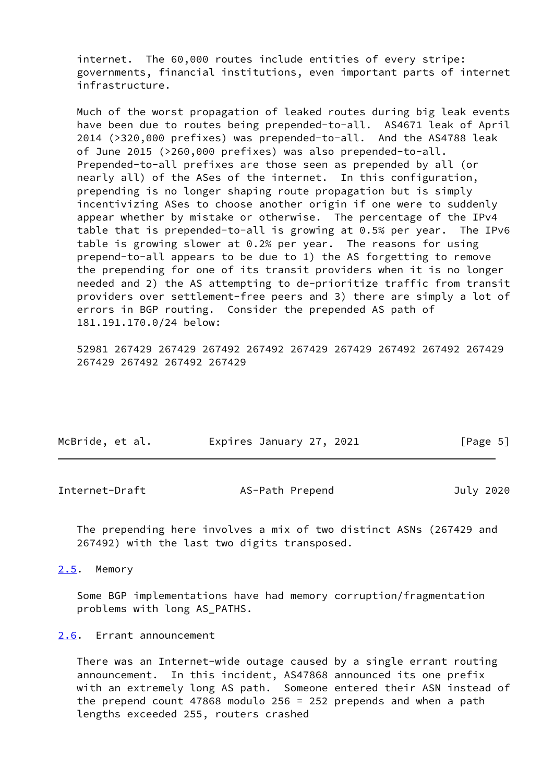internet. The 60,000 routes include entities of every stripe: governments, financial institutions, even important parts of internet infrastructure.

 Much of the worst propagation of leaked routes during big leak events have been due to routes being prepended-to-all. AS4671 leak of April 2014 (>320,000 prefixes) was prepended-to-all. And the AS4788 leak of June 2015 (>260,000 prefixes) was also prepended-to-all. Prepended-to-all prefixes are those seen as prepended by all (or nearly all) of the ASes of the internet. In this configuration, prepending is no longer shaping route propagation but is simply incentivizing ASes to choose another origin if one were to suddenly appear whether by mistake or otherwise. The percentage of the IPv4 table that is prepended-to-all is growing at 0.5% per year. The IPv6 table is growing slower at 0.2% per year. The reasons for using prepend-to-all appears to be due to 1) the AS forgetting to remove the prepending for one of its transit providers when it is no longer needed and 2) the AS attempting to de-prioritize traffic from transit providers over settlement-free peers and 3) there are simply a lot of errors in BGP routing. Consider the prepended AS path of 181.191.170.0/24 below:

 52981 267429 267429 267492 267492 267429 267429 267492 267492 267429 267429 267492 267492 267429

| McBride, et al. | Expires January 27, 2021 | [Page 5] |
|-----------------|--------------------------|----------|
|                 |                          |          |

<span id="page-5-1"></span>

| AS-Path Prepend | July 2020 |
|-----------------|-----------|
|                 |           |

 The prepending here involves a mix of two distinct ASNs (267429 and 267492) with the last two digits transposed.

<span id="page-5-0"></span>[2.5](#page-5-0). Memory

 Some BGP implementations have had memory corruption/fragmentation problems with long AS\_PATHS.

#### <span id="page-5-2"></span>[2.6](#page-5-2). Errant announcement

 There was an Internet-wide outage caused by a single errant routing announcement. In this incident, AS47868 announced its one prefix with an extremely long AS path. Someone entered their ASN instead of the prepend count 47868 modulo 256 = 252 prepends and when a path lengths exceeded 255, routers crashed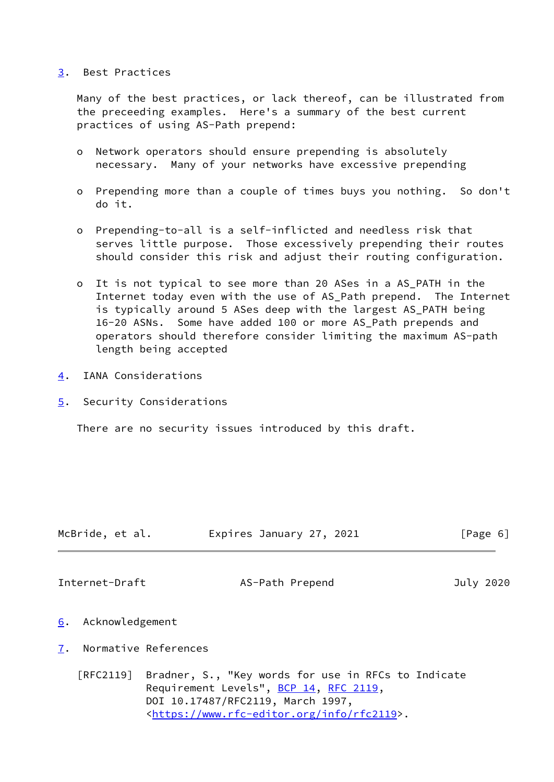### <span id="page-6-0"></span>[3](#page-6-0). Best Practices

 Many of the best practices, or lack thereof, can be illustrated from the preceeding examples. Here's a summary of the best current practices of using AS-Path prepend:

- o Network operators should ensure prepending is absolutely necessary. Many of your networks have excessive prepending
- o Prepending more than a couple of times buys you nothing. So don't do it.
- o Prepending-to-all is a self-inflicted and needless risk that serves little purpose. Those excessively prepending their routes should consider this risk and adjust their routing configuration.
- o It is not typical to see more than 20 ASes in a AS\_PATH in the Internet today even with the use of AS\_Path prepend. The Internet is typically around 5 ASes deep with the largest AS\_PATH being 16-20 ASNs. Some have added 100 or more AS\_Path prepends and operators should therefore consider limiting the maximum AS-path length being accepted
- <span id="page-6-1"></span>[4](#page-6-1). IANA Considerations
- <span id="page-6-2"></span>[5](#page-6-2). Security Considerations

There are no security issues introduced by this draft.

<span id="page-6-4"></span>

| McBride, et al. | Expires January 27, 2021 | [Page 6]  |
|-----------------|--------------------------|-----------|
|                 |                          |           |
| Internet-Draft  | AS-Path Prepend          | July 2020 |

- <span id="page-6-3"></span>[6](#page-6-3). Acknowledgement
- <span id="page-6-5"></span>[7](#page-6-5). Normative References

 [RFC2119] Bradner, S., "Key words for use in RFCs to Indicate Requirement Levels", [BCP 14](https://datatracker.ietf.org/doc/pdf/bcp14), [RFC 2119](https://datatracker.ietf.org/doc/pdf/rfc2119), DOI 10.17487/RFC2119, March 1997, <[https://www.rfc-editor.org/info/rfc2119>](https://www.rfc-editor.org/info/rfc2119).